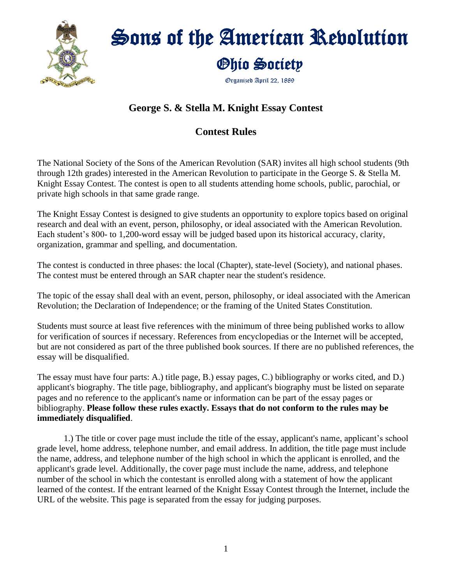

# Sons of the American Revolution Ohio Society

Organized April 22, 1889

#### **George S. & Stella M. Knight Essay Contest**

#### **Contest Rules**

The National Society of the Sons of the American Revolution (SAR) invites all high school students (9th through 12th grades) interested in the American Revolution to participate in the George S. & Stella M. Knight Essay Contest. The contest is open to all students attending home schools, public, parochial, or private high schools in that same grade range.

The Knight Essay Contest is designed to give students an opportunity to explore topics based on original research and deal with an event, person, philosophy, or ideal associated with the American Revolution. Each student's 800- to 1,200-word essay will be judged based upon its historical accuracy, clarity, organization, grammar and spelling, and documentation.

The contest is conducted in three phases: the local (Chapter), state-level (Society), and national phases. The contest must be entered through an SAR chapter near the student's residence.

The topic of the essay shall deal with an event, person, philosophy, or ideal associated with the American Revolution; the Declaration of Independence; or the framing of the United States Constitution.

Students must source at least five references with the minimum of three being published works to allow for verification of sources if necessary. References from encyclopedias or the Internet will be accepted, but are not considered as part of the three published book sources. If there are no published references, the essay will be disqualified.

The essay must have four parts: A.) title page, B.) essay pages, C.) bibliography or works cited, and D.) applicant's biography. The title page, bibliography, and applicant's biography must be listed on separate pages and no reference to the applicant's name or information can be part of the essay pages or bibliography. **Please follow these rules exactly. Essays that do not conform to the rules may be immediately disqualified**.

1.) The title or cover page must include the title of the essay, applicant's name, applicant's school grade level, home address, telephone number, and email address. In addition, the title page must include the name, address, and telephone number of the high school in which the applicant is enrolled, and the applicant's grade level. Additionally, the cover page must include the name, address, and telephone number of the school in which the contestant is enrolled along with a statement of how the applicant learned of the contest. If the entrant learned of the Knight Essay Contest through the Internet, include the URL of the website. This page is separated from the essay for judging purposes.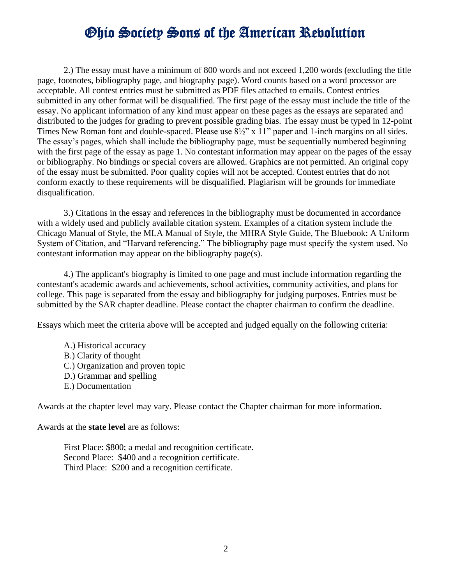### Ohio Society Sons of the American Revolution

2.) The essay must have a minimum of 800 words and not exceed 1,200 words (excluding the title page, footnotes, bibliography page, and biography page). Word counts based on a word processor are acceptable. All contest entries must be submitted as PDF files attached to emails. Contest entries submitted in any other format will be disqualified. The first page of the essay must include the title of the essay. No applicant information of any kind must appear on these pages as the essays are separated and distributed to the judges for grading to prevent possible grading bias. The essay must be typed in 12-point Times New Roman font and double-spaced. Please use  $8\frac{1}{2}$ " x 11" paper and 1-inch margins on all sides. The essay's pages, which shall include the bibliography page, must be sequentially numbered beginning with the first page of the essay as page 1. No contestant information may appear on the pages of the essay or bibliography. No bindings or special covers are allowed. Graphics are not permitted. An original copy of the essay must be submitted. Poor quality copies will not be accepted. Contest entries that do not conform exactly to these requirements will be disqualified. Plagiarism will be grounds for immediate disqualification.

3.) Citations in the essay and references in the bibliography must be documented in accordance with a widely used and publicly available citation system. Examples of a citation system include the Chicago Manual of Style, the MLA Manual of Style, the MHRA Style Guide, The Bluebook: A Uniform System of Citation, and "Harvard referencing." The bibliography page must specify the system used. No contestant information may appear on the bibliography page(s).

4.) The applicant's biography is limited to one page and must include information regarding the contestant's academic awards and achievements, school activities, community activities, and plans for college. This page is separated from the essay and bibliography for judging purposes. Entries must be submitted by the SAR chapter deadline. Please contact the chapter chairman to confirm the deadline.

Essays which meet the criteria above will be accepted and judged equally on the following criteria:

- A.) Historical accuracy
- B.) Clarity of thought
- C.) Organization and proven topic
- D.) Grammar and spelling
- E.) Documentation

Awards at the chapter level may vary. Please contact the Chapter chairman for more information.

Awards at the **state level** are as follows:

First Place: \$800; a medal and recognition certificate. Second Place: \$400 and a recognition certificate. Third Place: \$200 and a recognition certificate.